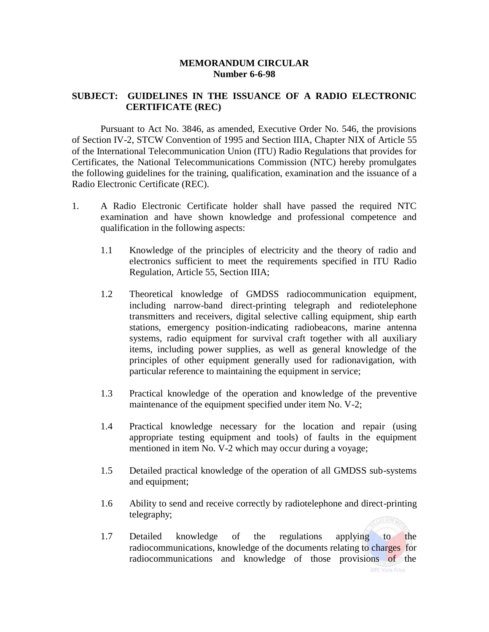## **MEMORANDUM CIRCULAR Number 6-6-98**

## **SUBJECT: GUIDELINES IN THE ISSUANCE OF A RADIO ELECTRONIC CERTIFICATE (REC)**

Pursuant to Act No. 3846, as amended, Executive Order No. 546, the provisions of Section IV-2, STCW Convention of 1995 and Section IIIA, Chapter NIX of Article 55 of the International Telecommunication Union (ITU) Radio Regulations that provides for Certificates, the National Telecommunications Commission (NTC) hereby promulgates the following guidelines for the training, qualification, examination and the issuance of a Radio Electronic Certificate (REC).

- 1. A Radio Electronic Certificate holder shall have passed the required NTC examination and have shown knowledge and professional competence and qualification in the following aspects:
	- 1.1 Knowledge of the principles of electricity and the theory of radio and electronics sufficient to meet the requirements specified in ITU Radio Regulation, Article 55, Section IIIA;
	- 1.2 Theoretical knowledge of GMDSS radiocommunication equipment, including narrow-band direct-printing telegraph and rediotelephone transmitters and receivers, digital selective calling equipment, ship earth stations, emergency position-indicating radiobeacons, marine antenna systems, radio equipment for survival craft together with all auxiliary items, including power supplies, as well as general knowledge of the principles of other equipment generally used for radionavigation, with particular reference to maintaining the equipment in service;
	- 1.3 Practical knowledge of the operation and knowledge of the preventive maintenance of the equipment specified under item No. V-2;
	- 1.4 Practical knowledge necessary for the location and repair (using appropriate testing equipment and tools) of faults in the equipment mentioned in item No. V-2 which may occur during a voyage;
	- 1.5 Detailed practical knowledge of the operation of all GMDSS sub-systems and equipment;
	- 1.6 Ability to send and receive correctly by radiotelephone and direct-printing telegraphy; **CEOMIC**
	- 1.7 Detailed knowledge of the regulations applying to the radiocommunications, knowledge of the documents relating to charges for radiocommunications and knowledge of those provisions of the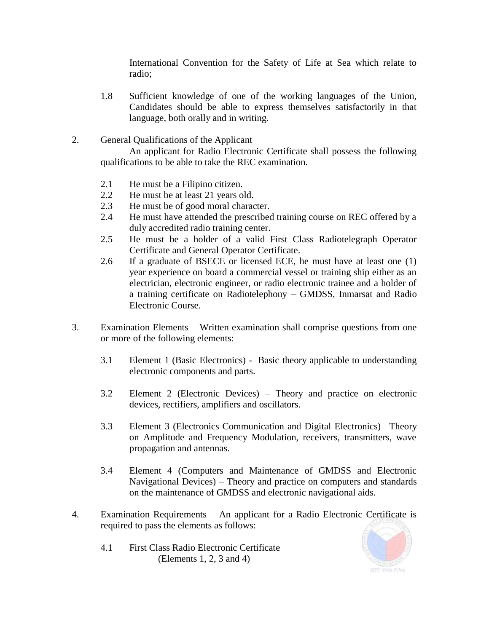International Convention for the Safety of Life at Sea which relate to radio;

- 1.8 Sufficient knowledge of one of the working languages of the Union, Candidates should be able to express themselves satisfactorily in that language, both orally and in writing.
- 2. General Qualifications of the Applicant

An applicant for Radio Electronic Certificate shall possess the following qualifications to be able to take the REC examination.

- 2.1 He must be a Filipino citizen.
- 2.2 He must be at least 21 years old.
- 2.3 He must be of good moral character.
- 2.4 He must have attended the prescribed training course on REC offered by a duly accredited radio training center.
- 2.5 He must be a holder of a valid First Class Radiotelegraph Operator Certificate and General Operator Certificate.
- 2.6 If a graduate of BSECE or licensed ECE, he must have at least one (1) year experience on board a commercial vessel or training ship either as an electrician, electronic engineer, or radio electronic trainee and a holder of a training certificate on Radiotelephony – GMDSS, Inmarsat and Radio Electronic Course.
- 3. Examination Elements Written examination shall comprise questions from one or more of the following elements:
	- 3.1 Element 1 (Basic Electronics) Basic theory applicable to understanding electronic components and parts.
	- 3.2 Element 2 (Electronic Devices) Theory and practice on electronic devices, rectifiers, amplifiers and oscillators.
	- 3.3 Element 3 (Electronics Communication and Digital Electronics) –Theory on Amplitude and Frequency Modulation, receivers, transmitters, wave propagation and antennas.
	- 3.4 Element 4 (Computers and Maintenance of GMDSS and Electronic Navigational Devices) – Theory and practice on computers and standards on the maintenance of GMDSS and electronic navigational aids.
- 4. Examination Requirements An applicant for a Radio Electronic Certificate is required to pass the elements as follows:
	- 4.1 First Class Radio Electronic Certificate (Elements 1, 2, 3 and 4)